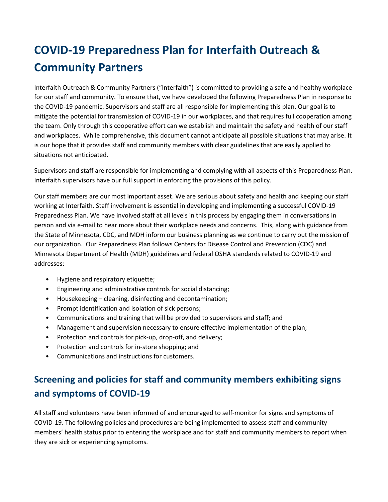# **COVID-19 Preparedness Plan for Interfaith Outreach & Community Partners**

Interfaith Outreach & Community Partners ("Interfaith") is committed to providing a safe and healthy workplace for our staff and community. To ensure that, we have developed the following Preparedness Plan in response to the COVID-19 pandemic. Supervisors and staff are all responsible for implementing this plan. Our goal is to mitigate the potential for transmission of COVID-19 in our workplaces, and that requires full cooperation among the team. Only through this cooperative effort can we establish and maintain the safety and health of our staff and workplaces. While comprehensive, this document cannot anticipate all possible situations that may arise. It is our hope that it provides staff and community members with clear guidelines that are easily applied to situations not anticipated.

Supervisors and staff are responsible for implementing and complying with all aspects of this Preparedness Plan. Interfaith supervisors have our full support in enforcing the provisions of this policy.

Our staff members are our most important asset. We are serious about safety and health and keeping our staff working at Interfaith. Staff involvement is essential in developing and implementing a successful COVID-19 Preparedness Plan. We have involved staff at all levels in this process by engaging them in conversations in person and via e-mail to hear more about their workplace needs and concerns. This, along with guidance from the State of Minnesota, CDC, and MDH inform our business planning as we continue to carry out the mission of our organization. Our Preparedness Plan follows Centers for Disease Control and Prevention (CDC) and Minnesota Department of Health (MDH) guidelines and federal OSHA standards related to COVID-19 and addresses:

- Hygiene and respiratory etiquette;
- Engineering and administrative controls for social distancing;
- Housekeeping cleaning, disinfecting and decontamination;
- Prompt identification and isolation of sick persons;
- Communications and training that will be provided to supervisors and staff; and
- Management and supervision necessary to ensure effective implementation of the plan;
- Protection and controls for pick-up, drop-off, and delivery;
- Protection and controls for in-store shopping; and
- Communications and instructions for customers.

## **Screening and policies for staff and community members exhibiting signs and symptoms of COVID-19**

All staff and volunteers have been informed of and encouraged to self-monitor for signs and symptoms of COVID-19. The following policies and procedures are being implemented to assess staff and community members' health status prior to entering the workplace and for staff and community members to report when they are sick or experiencing symptoms.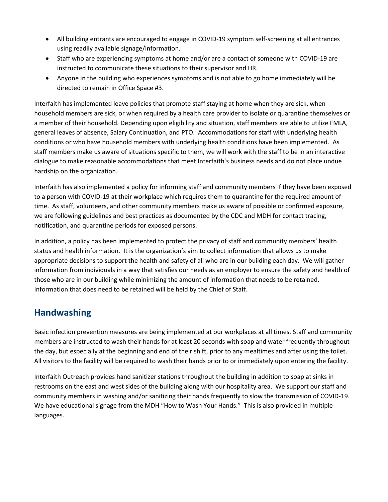- All building entrants are encouraged to engage in COVID-19 symptom self-screening at all entrances using readily available signage/information.
- Staff who are experiencing symptoms at home and/or are a contact of someone with COVID-19 are instructed to communicate these situations to their supervisor and HR.
- Anyone in the building who experiences symptoms and is not able to go home immediately will be directed to remain in Office Space #3.

Interfaith has implemented leave policies that promote staff staying at home when they are sick, when household members are sick, or when required by a health care provider to isolate or quarantine themselves or a member of their household. Depending upon eligibility and situation, staff members are able to utilize FMLA, general leaves of absence, Salary Continuation, and PTO. Accommodations for staff with underlying health conditions or who have household members with underlying health conditions have been implemented. As staff members make us aware of situations specific to them, we will work with the staff to be in an interactive dialogue to make reasonable accommodations that meet Interfaith's business needs and do not place undue hardship on the organization.

Interfaith has also implemented a policy for informing staff and community members if they have been exposed to a person with COVID-19 at their workplace which requires them to quarantine for the required amount of time. As staff, volunteers, and other community members make us aware of possible or confirmed exposure, we are following guidelines and best practices as documented by the CDC and MDH for contact tracing, notification, and quarantine periods for exposed persons.

In addition, a policy has been implemented to protect the privacy of staff and community members' health status and health information. It is the organization's aim to collect information that allows us to make appropriate decisions to support the health and safety of all who are in our building each day. We will gather information from individuals in a way that satisfies our needs as an employer to ensure the safety and health of those who are in our building while minimizing the amount of information that needs to be retained. Information that does need to be retained will be held by the Chief of Staff.

### **Handwashing**

Basic infection prevention measures are being implemented at our workplaces at all times. Staff and community members are instructed to wash their hands for at least 20 seconds with soap and water frequently throughout the day, but especially at the beginning and end of their shift, prior to any mealtimes and after using the toilet. All visitors to the facility will be required to wash their hands prior to or immediately upon entering the facility.

Interfaith Outreach provides hand sanitizer stations throughout the building in addition to soap at sinks in restrooms on the east and west sides of the building along with our hospitality area. We support our staff and community members in washing and/or sanitizing their hands frequently to slow the transmission of COVID-19. We have educational signage from the MDH "How to Wash Your Hands." This is also provided in multiple languages.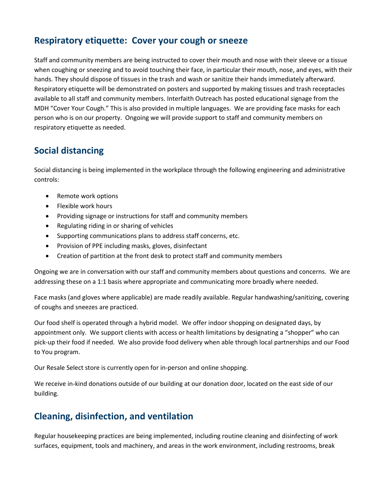#### **Respiratory etiquette: Cover your cough or sneeze**

Staff and community members are being instructed to cover their mouth and nose with their sleeve or a tissue when coughing or sneezing and to avoid touching their face, in particular their mouth, nose, and eyes, with their hands. They should dispose of tissues in the trash and wash or sanitize their hands immediately afterward. Respiratory etiquette will be demonstrated on posters and supported by making tissues and trash receptacles available to all staff and community members. Interfaith Outreach has posted educational signage from the MDH "Cover Your Cough." This is also provided in multiple languages. We are providing face masks for each person who is on our property. Ongoing we will provide support to staff and community members on respiratory etiquette as needed.

#### **Social distancing**

Social distancing is being implemented in the workplace through the following engineering and administrative controls:

- Remote work options
- Flexible work hours
- Providing signage or instructions for staff and community members
- Regulating riding in or sharing of vehicles
- Supporting communications plans to address staff concerns, etc.
- Provision of PPE including masks, gloves, disinfectant
- Creation of partition at the front desk to protect staff and community members

Ongoing we are in conversation with our staff and community members about questions and concerns. We are addressing these on a 1:1 basis where appropriate and communicating more broadly where needed.

Face masks (and gloves where applicable) are made readily available. Regular handwashing/sanitizing, covering of coughs and sneezes are practiced.

Our food shelf is operated through a hybrid model. We offer indoor shopping on designated days, by appointment only. We support clients with access or health limitations by designating a "shopper" who can pick-up their food if needed. We also provide food delivery when able through local partnerships and our Food to You program.

Our Resale Select store is currently open for in-person and online shopping.

We receive in-kind donations outside of our building at our donation door, located on the east side of our building.

#### **Cleaning, disinfection, and ventilation**

Regular housekeeping practices are being implemented, including routine cleaning and disinfecting of work surfaces, equipment, tools and machinery, and areas in the work environment, including restrooms, break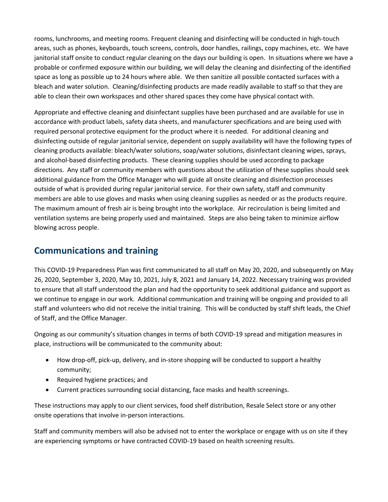rooms, lunchrooms, and meeting rooms. Frequent cleaning and disinfecting will be conducted in high-touch areas, such as phones, keyboards, touch screens, controls, door handles, railings, copy machines, etc. We have janitorial staff onsite to conduct regular cleaning on the days our building is open. In situations where we have a probable or confirmed exposure within our building, we will delay the cleaning and disinfecting of the identified space as long as possible up to 24 hours where able. We then sanitize all possible contacted surfaces with a bleach and water solution. Cleaning/disinfecting products are made readily available to staff so that they are able to clean their own workspaces and other shared spaces they come have physical contact with.

Appropriate and effective cleaning and disinfectant supplies have been purchased and are available for use in accordance with product labels, safety data sheets, and manufacturer specifications and are being used with required personal protective equipment for the product where it is needed. For additional cleaning and disinfecting outside of regular janitorial service, dependent on supply availability will have the following types of cleaning products available: bleach/water solutions, soap/water solutions, disinfectant cleaning wipes, sprays, and alcohol-based disinfecting products. These cleaning supplies should be used according to package directions. Any staff or community members with questions about the utilization of these supplies should seek additional guidance from the Office Manager who will guide all onsite cleaning and disinfection processes outside of what is provided during regular janitorial service. For their own safety, staff and community members are able to use gloves and masks when using cleaning supplies as needed or as the products require. The maximum amount of fresh air is being brought into the workplace. Air recirculation is being limited and ventilation systems are being properly used and maintained. Steps are also being taken to minimize airflow blowing across people.

#### **Communications and training**

This COVID-19 Preparedness Plan was first communicated to all staff on May 20, 2020, and subsequently on May 26, 2020, September 3, 2020, May 10, 2021, July 8, 2021 and January 14, 2022. Necessary training was provided to ensure that all staff understood the plan and had the opportunity to seek additional guidance and support as we continue to engage in our work. Additional communication and training will be ongoing and provided to all staff and volunteers who did not receive the initial training. This will be conducted by staff shift leads, the Chief of Staff, and the Office Manager.

Ongoing as our community's situation changes in terms of both COVID-19 spread and mitigation measures in place, instructions will be communicated to the community about:

- How drop-off, pick-up, delivery, and in-store shopping will be conducted to support a healthy community;
- Required hygiene practices; and
- Current practices surrounding social distancing, face masks and health screenings.

These instructions may apply to our client services, food shelf distribution, Resale Select store or any other onsite operations that involve in-person interactions.

Staff and community members will also be advised not to enter the workplace or engage with us on site if they are experiencing symptoms or have contracted COVID-19 based on health screening results.